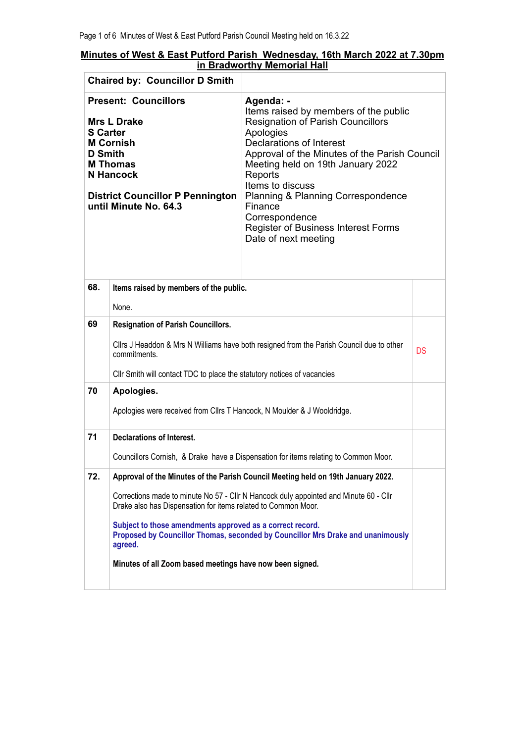| Minutes of West & East Putford Parish Wednesday, 16th March 2022 at 7.30pm<br>in Bradworthy Memorial Hall |  |  |  |  |
|-----------------------------------------------------------------------------------------------------------|--|--|--|--|

| <b>Chaired by: Councillor D Smith</b>                                                                                                                                                                                 |                                                                                                                                                                                                                                                                                                                                                                               |                                                                                                                                                                                                                                                                                                                                                                                                                         |           |
|-----------------------------------------------------------------------------------------------------------------------------------------------------------------------------------------------------------------------|-------------------------------------------------------------------------------------------------------------------------------------------------------------------------------------------------------------------------------------------------------------------------------------------------------------------------------------------------------------------------------|-------------------------------------------------------------------------------------------------------------------------------------------------------------------------------------------------------------------------------------------------------------------------------------------------------------------------------------------------------------------------------------------------------------------------|-----------|
| <b>Present: Councillors</b><br><b>Mrs L Drake</b><br><b>S</b> Carter<br><b>M Cornish</b><br><b>D</b> Smith<br><b>M Thomas</b><br><b>N</b> Hancock<br><b>District Councillor P Pennington</b><br>until Minute No. 64.3 |                                                                                                                                                                                                                                                                                                                                                                               | Agenda: -<br>Items raised by members of the public<br><b>Resignation of Parish Councillors</b><br>Apologies<br><b>Declarations of Interest</b><br>Approval of the Minutes of the Parish Council<br>Meeting held on 19th January 2022<br>Reports<br>Items to discuss<br><b>Planning &amp; Planning Correspondence</b><br>Finance<br>Correspondence<br><b>Register of Business Interest Forms</b><br>Date of next meeting |           |
| 68.                                                                                                                                                                                                                   | Items raised by members of the public.                                                                                                                                                                                                                                                                                                                                        |                                                                                                                                                                                                                                                                                                                                                                                                                         |           |
|                                                                                                                                                                                                                       | None.                                                                                                                                                                                                                                                                                                                                                                         |                                                                                                                                                                                                                                                                                                                                                                                                                         |           |
| 69                                                                                                                                                                                                                    | <b>Resignation of Parish Councillors.</b>                                                                                                                                                                                                                                                                                                                                     |                                                                                                                                                                                                                                                                                                                                                                                                                         |           |
|                                                                                                                                                                                                                       | commitments.                                                                                                                                                                                                                                                                                                                                                                  | Cllrs J Headdon & Mrs N Williams have both resigned from the Parish Council due to other                                                                                                                                                                                                                                                                                                                                | <b>DS</b> |
|                                                                                                                                                                                                                       | Cllr Smith will contact TDC to place the statutory notices of vacancies                                                                                                                                                                                                                                                                                                       |                                                                                                                                                                                                                                                                                                                                                                                                                         |           |
| 70                                                                                                                                                                                                                    | Apologies.                                                                                                                                                                                                                                                                                                                                                                    |                                                                                                                                                                                                                                                                                                                                                                                                                         |           |
|                                                                                                                                                                                                                       | Apologies were received from Cllrs T Hancock, N Moulder & J Wooldridge.                                                                                                                                                                                                                                                                                                       |                                                                                                                                                                                                                                                                                                                                                                                                                         |           |
| 71                                                                                                                                                                                                                    | <b>Declarations of Interest.</b>                                                                                                                                                                                                                                                                                                                                              |                                                                                                                                                                                                                                                                                                                                                                                                                         |           |
|                                                                                                                                                                                                                       |                                                                                                                                                                                                                                                                                                                                                                               | Councillors Cornish, & Drake have a Dispensation for items relating to Common Moor.                                                                                                                                                                                                                                                                                                                                     |           |
| 72.                                                                                                                                                                                                                   |                                                                                                                                                                                                                                                                                                                                                                               | Approval of the Minutes of the Parish Council Meeting held on 19th January 2022.                                                                                                                                                                                                                                                                                                                                        |           |
|                                                                                                                                                                                                                       | Corrections made to minute No 57 - Cllr N Hancock duly appointed and Minute 60 - Cllr<br>Drake also has Dispensation for items related to Common Moor.<br>Subject to those amendments approved as a correct record.<br>Proposed by Councillor Thomas, seconded by Councillor Mrs Drake and unanimously<br>agreed.<br>Minutes of all Zoom based meetings have now been signed. |                                                                                                                                                                                                                                                                                                                                                                                                                         |           |
|                                                                                                                                                                                                                       |                                                                                                                                                                                                                                                                                                                                                                               |                                                                                                                                                                                                                                                                                                                                                                                                                         |           |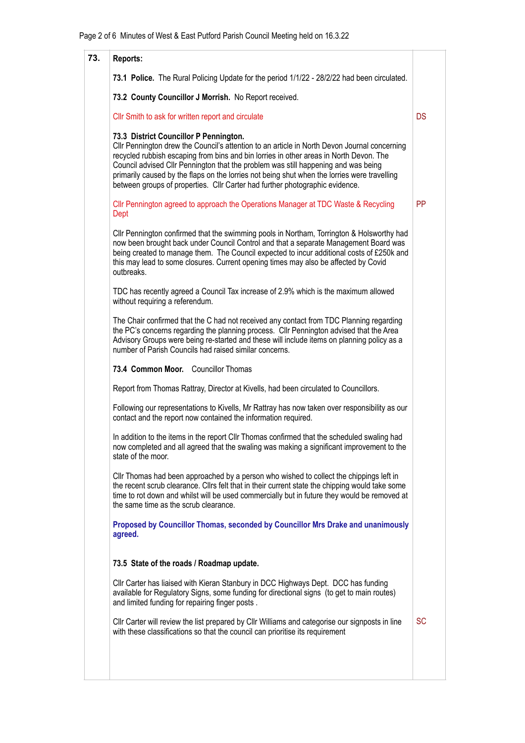| 73. | <b>Reports:</b>                                                                                                                                                                                                                                                                                                                                                                                                                                                                                        |           |
|-----|--------------------------------------------------------------------------------------------------------------------------------------------------------------------------------------------------------------------------------------------------------------------------------------------------------------------------------------------------------------------------------------------------------------------------------------------------------------------------------------------------------|-----------|
|     | 73.1 Police. The Rural Policing Update for the period 1/1/22 - 28/2/22 had been circulated.                                                                                                                                                                                                                                                                                                                                                                                                            |           |
|     | 73.2 County Councillor J Morrish. No Report received.                                                                                                                                                                                                                                                                                                                                                                                                                                                  |           |
|     | Cllr Smith to ask for written report and circulate                                                                                                                                                                                                                                                                                                                                                                                                                                                     | <b>DS</b> |
|     | 73.3 District Councillor P Pennington.<br>CIIr Pennington drew the Council's attention to an article in North Devon Journal concerning<br>recycled rubbish escaping from bins and bin lorries in other areas in North Devon. The<br>Council advised Cllr Pennington that the problem was still happening and was being<br>primarily caused by the flaps on the lorries not being shut when the lorries were travelling<br>between groups of properties. Cllr Carter had further photographic evidence. |           |
|     | CIIr Pennington agreed to approach the Operations Manager at TDC Waste & Recycling<br>Dept                                                                                                                                                                                                                                                                                                                                                                                                             | <b>PP</b> |
|     | CIIr Pennington confirmed that the swimming pools in Northam, Torrington & Holsworthy had<br>now been brought back under Council Control and that a separate Management Board was<br>being created to manage them. The Council expected to incur additional costs of £250k and<br>this may lead to some closures. Current opening times may also be affected by Covid<br>outbreaks.                                                                                                                    |           |
|     | TDC has recently agreed a Council Tax increase of 2.9% which is the maximum allowed<br>without requiring a referendum.                                                                                                                                                                                                                                                                                                                                                                                 |           |
|     | The Chair confirmed that the C had not received any contact from TDC Planning regarding<br>the PC's concerns regarding the planning process. Cllr Pennington advised that the Area<br>Advisory Groups were being re-started and these will include items on planning policy as a<br>number of Parish Councils had raised similar concerns.                                                                                                                                                             |           |
|     | 73.4 Common Moor. Councillor Thomas                                                                                                                                                                                                                                                                                                                                                                                                                                                                    |           |
|     | Report from Thomas Rattray, Director at Kivells, had been circulated to Councillors.                                                                                                                                                                                                                                                                                                                                                                                                                   |           |
|     | Following our representations to Kivells, Mr Rattray has now taken over responsibility as our<br>contact and the report now contained the information required.                                                                                                                                                                                                                                                                                                                                        |           |
|     | In addition to the items in the report CIIr Thomas confirmed that the scheduled swaling had<br>now completed and all agreed that the swaling was making a significant improvement to the<br>state of the moor.                                                                                                                                                                                                                                                                                         |           |
|     | Cllr Thomas had been approached by a person who wished to collect the chippings left in<br>the recent scrub clearance. Clirs felt that in their current state the chipping would take some<br>time to rot down and whilst will be used commercially but in future they would be removed at<br>the same time as the scrub clearance.                                                                                                                                                                    |           |
|     | Proposed by Councillor Thomas, seconded by Councillor Mrs Drake and unanimously<br>agreed.                                                                                                                                                                                                                                                                                                                                                                                                             |           |
|     | 73.5 State of the roads / Roadmap update.                                                                                                                                                                                                                                                                                                                                                                                                                                                              |           |
|     | Cllr Carter has liaised with Kieran Stanbury in DCC Highways Dept. DCC has funding<br>available for Regulatory Signs, some funding for directional signs (to get to main routes)<br>and limited funding for repairing finger posts.                                                                                                                                                                                                                                                                    |           |
|     | CIIr Carter will review the list prepared by CIIr Williams and categorise our signposts in line<br>with these classifications so that the council can prioritise its requirement                                                                                                                                                                                                                                                                                                                       | SC        |
|     |                                                                                                                                                                                                                                                                                                                                                                                                                                                                                                        |           |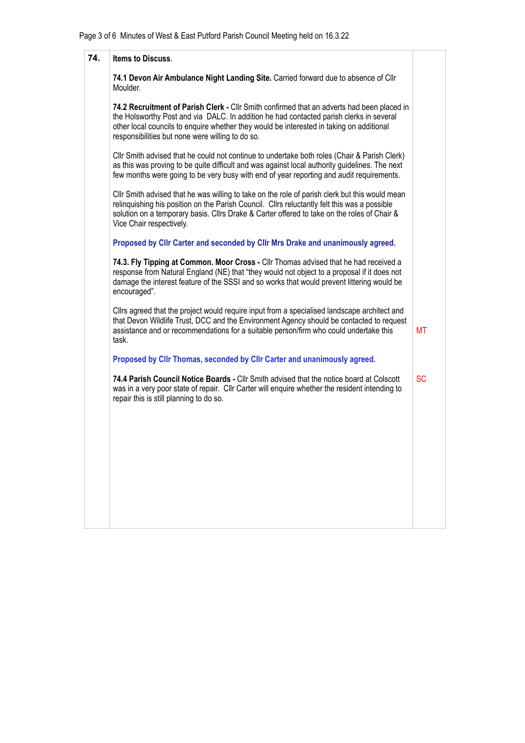| 74. | <b>Items to Discuss.</b>                                                                                                                                                                                                                                                                                                              |           |
|-----|---------------------------------------------------------------------------------------------------------------------------------------------------------------------------------------------------------------------------------------------------------------------------------------------------------------------------------------|-----------|
|     | 74.1 Devon Air Ambulance Night Landing Site. Carried forward due to absence of Cllr<br>Moulder.                                                                                                                                                                                                                                       |           |
|     | 74.2 Recruitment of Parish Clerk - Cllr Smith confirmed that an adverts had been placed in<br>the Holsworthy Post and via DALC. In addition he had contacted parish clerks in several<br>other local councils to enquire whether they would be interested in taking on additional<br>responsibilities but none were willing to do so. |           |
|     | Cllr Smith advised that he could not continue to undertake both roles (Chair & Parish Clerk)<br>as this was proving to be quite difficult and was against local authority guidelines. The next<br>few months were going to be very busy with end of year reporting and audit requirements.                                            |           |
|     | CIIr Smith advised that he was willing to take on the role of parish clerk but this would mean<br>relinquishing his position on the Parish Council. Cllrs reluctantly felt this was a possible<br>solution on a temporary basis. Cllrs Drake & Carter offered to take on the roles of Chair &<br>Vice Chair respectively.             |           |
|     | Proposed by Cllr Carter and seconded by Cllr Mrs Drake and unanimously agreed.                                                                                                                                                                                                                                                        |           |
|     | 74.3. Fly Tipping at Common. Moor Cross - Cllr Thomas advised that he had received a<br>response from Natural England (NE) that "they would not object to a proposal if it does not<br>damage the interest feature of the SSSI and so works that would prevent littering would be<br>encouraged".                                     |           |
|     | Clirs agreed that the project would require input from a specialised landscape architect and<br>that Devon Wildlife Trust, DCC and the Environment Agency should be contacted to request<br>assistance and or recommendations for a suitable person/firm who could undertake this<br>task.                                            | МT        |
|     | Proposed by Cllr Thomas, seconded by Cllr Carter and unanimously agreed.                                                                                                                                                                                                                                                              |           |
|     | 74.4 Parish Council Notice Boards - Cllr Smith advised that the notice board at Colscott<br>was in a very poor state of repair. Cllr Carter will enquire whether the resident intending to<br>repair this is still planning to do so.                                                                                                 | <b>SC</b> |
|     |                                                                                                                                                                                                                                                                                                                                       |           |
|     |                                                                                                                                                                                                                                                                                                                                       |           |
|     |                                                                                                                                                                                                                                                                                                                                       |           |
|     |                                                                                                                                                                                                                                                                                                                                       |           |
|     |                                                                                                                                                                                                                                                                                                                                       |           |
|     |                                                                                                                                                                                                                                                                                                                                       |           |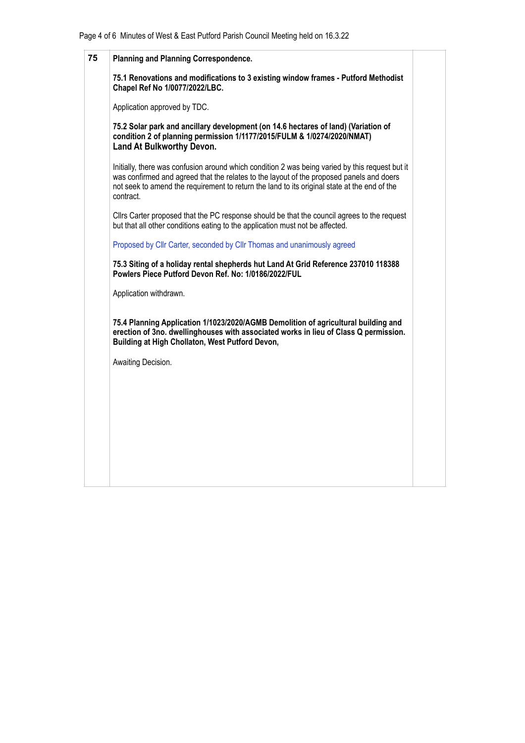| 75 | <b>Planning and Planning Correspondence.</b>                                                                                                                                                                                                                                                             |  |
|----|----------------------------------------------------------------------------------------------------------------------------------------------------------------------------------------------------------------------------------------------------------------------------------------------------------|--|
|    | 75.1 Renovations and modifications to 3 existing window frames - Putford Methodist<br>Chapel Ref No 1/0077/2022/LBC.                                                                                                                                                                                     |  |
|    | Application approved by TDC.                                                                                                                                                                                                                                                                             |  |
|    | 75.2 Solar park and ancillary development (on 14.6 hectares of land) (Variation of<br>condition 2 of planning permission 1/1177/2015/FULM & 1/0274/2020/NMAT)<br><b>Land At Bulkworthy Devon.</b>                                                                                                        |  |
|    | Initially, there was confusion around which condition 2 was being varied by this request but it<br>was confirmed and agreed that the relates to the layout of the proposed panels and doers<br>not seek to amend the requirement to return the land to its original state at the end of the<br>contract. |  |
|    | Clirs Carter proposed that the PC response should be that the council agrees to the request<br>but that all other conditions eating to the application must not be affected.                                                                                                                             |  |
|    | Proposed by Cllr Carter, seconded by Cllr Thomas and unanimously agreed                                                                                                                                                                                                                                  |  |
|    | 75.3 Siting of a holiday rental shepherds hut Land At Grid Reference 237010 118388<br>Powlers Piece Putford Devon Ref. No: 1/0186/2022/FUL                                                                                                                                                               |  |
|    | Application withdrawn.                                                                                                                                                                                                                                                                                   |  |
|    | 75.4 Planning Application 1/1023/2020/AGMB Demolition of agricultural building and<br>erection of 3no. dwellinghouses with associated works in lieu of Class Q permission.<br>Building at High Chollaton, West Putford Devon,                                                                            |  |
|    | Awaiting Decision.                                                                                                                                                                                                                                                                                       |  |
|    |                                                                                                                                                                                                                                                                                                          |  |
|    |                                                                                                                                                                                                                                                                                                          |  |
|    |                                                                                                                                                                                                                                                                                                          |  |
|    |                                                                                                                                                                                                                                                                                                          |  |
|    |                                                                                                                                                                                                                                                                                                          |  |
|    |                                                                                                                                                                                                                                                                                                          |  |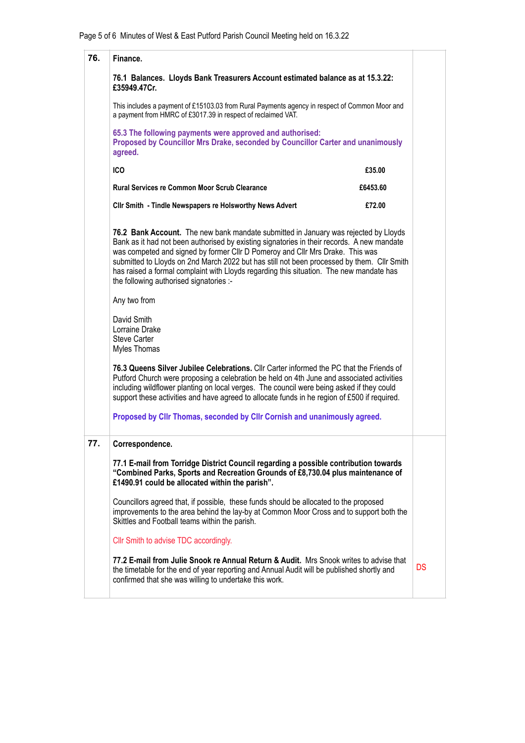| 76. | Finance.                                                                                                                                                                                                                                                                                                                                                                                                                                                                                                                                                                                                               |           |  |
|-----|------------------------------------------------------------------------------------------------------------------------------------------------------------------------------------------------------------------------------------------------------------------------------------------------------------------------------------------------------------------------------------------------------------------------------------------------------------------------------------------------------------------------------------------------------------------------------------------------------------------------|-----------|--|
|     | 76.1 Balances. Lloyds Bank Treasurers Account estimated balance as at 15.3.22:<br>£35949.47Cr.                                                                                                                                                                                                                                                                                                                                                                                                                                                                                                                         |           |  |
|     | This includes a payment of £15103.03 from Rural Payments agency in respect of Common Moor and<br>a payment from HMRC of £3017.39 in respect of reclaimed VAT.                                                                                                                                                                                                                                                                                                                                                                                                                                                          |           |  |
|     | 65.3 The following payments were approved and authorised:<br>Proposed by Councillor Mrs Drake, seconded by Councillor Carter and unanimously<br>agreed.                                                                                                                                                                                                                                                                                                                                                                                                                                                                |           |  |
|     | ICO<br>£35.00                                                                                                                                                                                                                                                                                                                                                                                                                                                                                                                                                                                                          |           |  |
|     | <b>Rural Services re Common Moor Scrub Clearance</b><br>£6453.60                                                                                                                                                                                                                                                                                                                                                                                                                                                                                                                                                       |           |  |
|     | Cllr Smith - Tindle Newspapers re Holsworthy News Advert<br>£72.00                                                                                                                                                                                                                                                                                                                                                                                                                                                                                                                                                     |           |  |
|     | 76.2 Bank Account. The new bank mandate submitted in January was rejected by Lloyds<br>Bank as it had not been authorised by existing signatories in their records. A new mandate<br>was competed and signed by former Cllr D Pomeroy and Cllr Mrs Drake. This was<br>submitted to Lloyds on 2nd March 2022 but has still not been processed by them. Cllr Smith<br>has raised a formal complaint with Lloyds regarding this situation. The new mandate has<br>the following authorised signatories :-                                                                                                                 |           |  |
|     | Any two from                                                                                                                                                                                                                                                                                                                                                                                                                                                                                                                                                                                                           |           |  |
|     | David Smith<br>Lorraine Drake<br><b>Steve Carter</b><br>Myles Thomas                                                                                                                                                                                                                                                                                                                                                                                                                                                                                                                                                   |           |  |
|     | 76.3 Queens Silver Jubilee Celebrations. Cllr Carter informed the PC that the Friends of<br>Putford Church were proposing a celebration be held on 4th June and associated activities<br>including wildflower planting on local verges. The council were being asked if they could<br>support these activities and have agreed to allocate funds in he region of £500 if required.                                                                                                                                                                                                                                     |           |  |
|     | Proposed by Cllr Thomas, seconded by Cllr Cornish and unanimously agreed.                                                                                                                                                                                                                                                                                                                                                                                                                                                                                                                                              |           |  |
| 77. | Correspondence.<br>77.1 E-mail from Torridge District Council regarding a possible contribution towards<br>"Combined Parks, Sports and Recreation Grounds of £8,730.04 plus maintenance of<br>£1490.91 could be allocated within the parish".<br>Councillors agreed that, if possible, these funds should be allocated to the proposed<br>improvements to the area behind the lay-by at Common Moor Cross and to support both the<br>Skittles and Football teams within the parish.<br>Cllr Smith to advise TDC accordingly.<br>77.2 E-mail from Julie Snook re Annual Return & Audit. Mrs Snook writes to advise that | <b>DS</b> |  |
|     | the timetable for the end of year reporting and Annual Audit will be published shortly and<br>confirmed that she was willing to undertake this work.                                                                                                                                                                                                                                                                                                                                                                                                                                                                   |           |  |